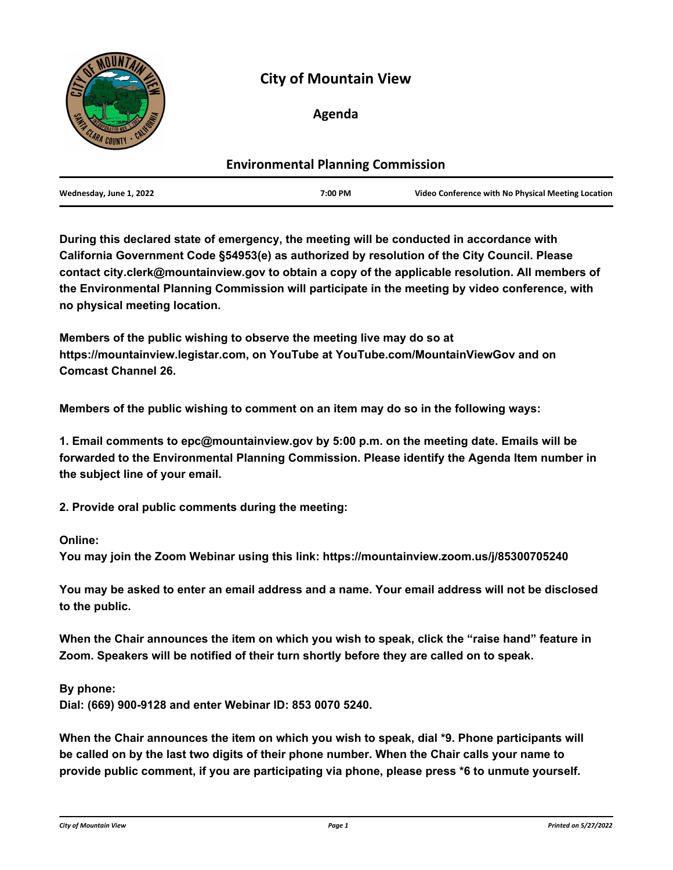

# **City of Mountain View**

## **Agenda**

| <b>Environmental Planning Commission</b> |         |                                                    |
|------------------------------------------|---------|----------------------------------------------------|
| Wednesday, June 1, 2022                  | 7:00 PM | Video Conference with No Physical Meeting Location |

**During this declared state of emergency, the meeting will be conducted in accordance with California Government Code §54953(e) as authorized by resolution of the City Council. Please contact city.clerk@mountainview.gov to obtain a copy of the applicable resolution. All members of the Environmental Planning Commission will participate in the meeting by video conference, with no physical meeting location.**

**Members of the public wishing to observe the meeting live may do so at https://mountainview.legistar.com, on YouTube at YouTube.com/MountainViewGov and on Comcast Channel 26.**

**Members of the public wishing to comment on an item may do so in the following ways:** 

**1. Email comments to epc@mountainview.gov by 5:00 p.m. on the meeting date. Emails will be forwarded to the Environmental Planning Commission. Please identify the Agenda Item number in the subject line of your email.**

**2. Provide oral public comments during the meeting:** 

### **Online:**

**You may join the Zoom Webinar using this link: https://mountainview.zoom.us/j/85300705240**

**You may be asked to enter an email address and a name. Your email address will not be disclosed to the public.**

**When the Chair announces the item on which you wish to speak, click the "raise hand" feature in Zoom. Speakers will be notified of their turn shortly before they are called on to speak.**

**By phone:**

**Dial: (669) 900-9128 and enter Webinar ID: 853 0070 5240.**

**When the Chair announces the item on which you wish to speak, dial \*9. Phone participants will be called on by the last two digits of their phone number. When the Chair calls your name to provide public comment, if you are participating via phone, please press \*6 to unmute yourself.**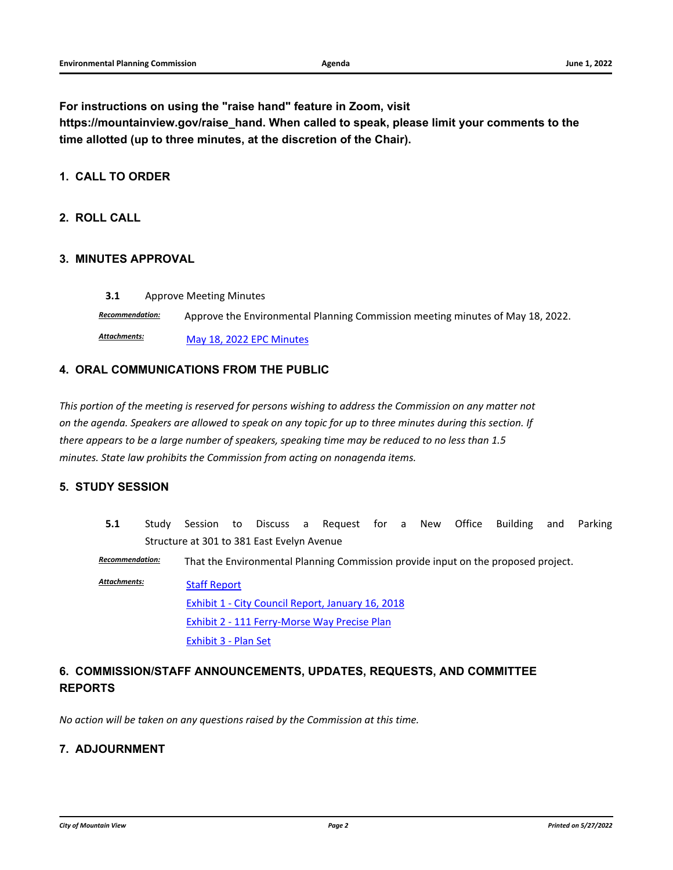**For instructions on using the "raise hand" feature in Zoom, visit** 

**https://mountainview.gov/raise\_hand. When called to speak, please limit your comments to the time allotted (up to three minutes, at the discretion of the Chair).**

### **1. CALL TO ORDER**

### **2. ROLL CALL**

#### **3. MINUTES APPROVAL**

**3.1** [Approve Meeting Minutes](http://mountainview.legistar.com/gateway.aspx?m=l&id=/matter.aspx?key=6529)

*Recommendation:* Approve the Environmental Planning Commission meeting minutes of May 18, 2022.

[May 18, 2022 EPC Minutes](http://mountainview.legistar.com/gateway.aspx?M=F&ID=37bd8965-bbd6-40f8-8b23-13bb3ed09ad5.pdf) *Attachments:*

#### **4. ORAL COMMUNICATIONS FROM THE PUBLIC**

*This portion of the meeting is reserved for persons wishing to address the Commission on any matter not on the agenda. Speakers are allowed to speak on any topic for up to three minutes during this section. If there appears to be a large number of speakers, speaking time may be reduced to no less than 1.5 minutes. State law prohibits the Commission from acting on nonagenda items.*

#### **5. STUDY SESSION**

**5.1** [Study Session to Discuss a Request for a New Office Building and Parking](http://mountainview.legistar.com/gateway.aspx?m=l&id=/matter.aspx?key=6384) Structure at 301 to 381 East Evelyn Avenue

*Recommendation:* That the Environmental Planning Commission provide input on the proposed project.

[Staff Report](http://mountainview.legistar.com/gateway.aspx?M=F&ID=3cd277d3-2fae-4f5c-8f63-331dbe76cc6c.pdf) [Exhibit 1 - City Council Report, January 16, 2018](http://mountainview.legistar.com/gateway.aspx?M=F&ID=b367420f-1cda-416b-b6d1-2884a6682ee9.pdf) [Exhibit 2 - 111 Ferry-Morse Way Precise Plan](http://mountainview.legistar.com/gateway.aspx?M=F&ID=d35e4e75-7939-416b-b6f1-2e531cce8076.pdf) [Exhibit 3 - Plan Set](http://mountainview.legistar.com/gateway.aspx?M=F&ID=0fc601e8-cf7e-404f-a92b-cafab8c51d05.pdf) *Attachments:*

## **6. COMMISSION/STAFF ANNOUNCEMENTS, UPDATES, REQUESTS, AND COMMITTEE REPORTS**

*No action will be taken on any questions raised by the Commission at this time.*

#### **7. ADJOURNMENT**